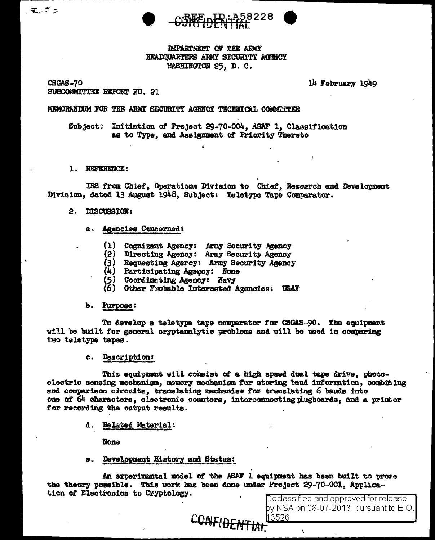

DEPARTMENT OF THE ARMY HEADQUARTERS ARMY SECURITY AGENCY WASHINGTON 25. D. C.

CSGAS-70 SUBCOMMITTEE REPORT NO. 21 14 February 1949

 $\mathbf{r}$ 

# MEMORANIUM FOR THE ARMY SECURITY AGENCY TECHNICAL COMMITTEE

Subject: Initiation of Project 29-70-004, ASAF 1, Classification as to Type, and Assignment of Priority Thereto

### 1. REFERENCE:

IRS from Chief, Operations Division to Chief, Research and Development Division, dated 13 August 1948, Subject: Teletype Tape Comparator.

- 2. DISCUSSION:
	- a. Agencies Concerned:
		- (1) Cognizant Agency: Army Socurity Agency
		- (2) Directing Agency: Army Security Agency
		- (3) Requesting Agency: Army Security Agency<br>(4) Participating Agency: None<br>(5) Coordinating Agency: Navy
		-
		-
		- (6) Other Frobable Interested Agencies: USAF

#### b. Purpose:

To develop a teletype tape comparator for CSGAS-90. The equipment will be built for general cryptanalytic problems and will be used in comparing two teletype tapes.

# c. Description:

This equipment will consist of a high speed dual tape drive, photoelectric sensing mechanism, memory mechanism for storing baud information, combining and comparison circuits, translating mechanism for translating 6 bands into one of 64 characters, electronic counters. interconnecting plugboards, and a printer for recording the output results.

d. Related Material:

None

e. Development History and Status:

An experimental model of the ASAF 1 equipment has been built to prose the theory possible. This work has been done under Project 29-70-001, Application of Electronics to Cryptology.

CONFIDENTIAL

Declassified and approved for release by NSA on 08-07-2013  $\,$  pursuant to E.O. 13526.

 $\overline{\phantom{a}}$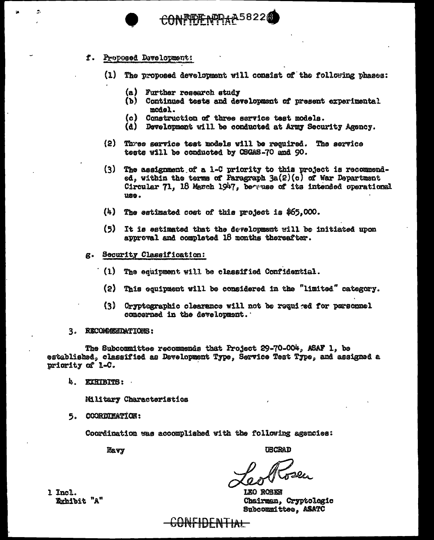# f. Proposed Development:

 $\mathcal{L}_{\mathcal{A}}$ 

- (1) The proposed development will consist of the following phases:
	- (a) Further research study
	- (b) Continued tests and development of present experimental model.
	- (c) Construction of three service test models.

FIFIF NEPAR5822

- (d) Development will be conducted at Army Security Agency.
- (2) Three service test models will be required. The service tests will be conducted by CSGAS-70 and 90.
- $(3)$ The assignment of a 1-C priority to this project is recommended, within the terms of Paragraph  $3a(2)(c)$  of War Department Circular 71. 18 Masch 1947. because of its intended operational use.
- $(4)$  The estimated cost of this project is \$65,000.
- (5) It is estimated that the development will be initiated upon approval and completed 18 months thereafter.
- g. Security Classification:
	- $(1)$  The equipment will be classified Confidential.
		- (2) This equipment will be considered in the "limited" category.
		- (3) Cryptographic clearance will not be required for personnel concerned in the development.
- 3. RECOMMENDATIONS:

The Subcommittee recommends that Project 29-70-004, ASAF 1, be established, classified as Development Type, Service Test Type, and assigned a priority of L-C.

4. EXHIBITS:

Military Characteristics

5. COORDIMATION:

Coordination was accomplished with the following agencies:

Mavy

**USCRAD** 

LEO ROSEN Chairman, Cryptologic Subcommittee. ASATC

1 Incl. Exhibit "A"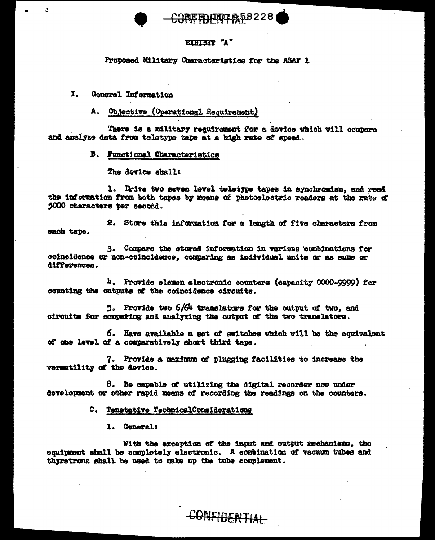# **IMTA58228**

# EXHIBIT "A"

Proposed Military Characteristics for the ASAF 1

I. General Information

 $\mathbf{r}$ 

#### Objective (Operational Requirement) А.

There is a military requirement for a device which will compare and analyze data from teletype tape at a high rate of speed.

**B.** Functional Characteristics

The device shall:

1. Drive two seven level teletype tapes in synchronism, and read the information from both tapes by means of photoslectric readers at the rate of 5000 characters per second.

2. Store this information for a length of five characters from each tape.

3. Compare the stored information in various combinations for coincidence or non-coincidence, comparing as individual units or as sums or differences.

4. Provide elemen slectronic counters (capacity 0000-9999) for counting the outputs of the coincidence circuits.

5. Provide two 6/64 translators for the output of two. and circuits for compating and analyzing the output of the two translators.

6. Have available a set of switches which will be the equivalent of one level of a comparatively short third tape.

7. Provide a maximum of plugging facilities to increase the versatility of the device.

8. Be capable of utilizing the digital recorder now under development or other rapid means of recording the readings on the counters.

C. Tenetative TechnicalConsiderations

1. General:

With the exception of the input and output mechanisms, the equipment shall be completely electronic. A combination of vacuum tubes and thyratrons shall be used to make up the tube complement.

CONFIDENTIAL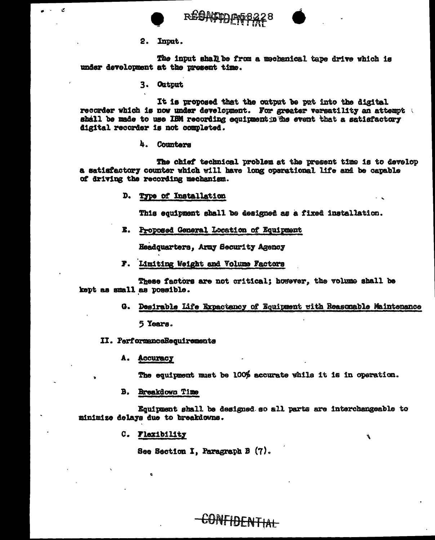

ķ.

REAMENDAG8228



2. Input.

The input shall be from a mechanical tape drive which is under development at the present time.

3. Output

It is proposed that the output be put into the digital recorder which is now under development. For greater versatility an attempt shall be made to use IBM recording equipment in the event that a satisfactory digital recorder is not completed.

4. Counters

The chief technical problem at the present time is to develop a satisfactory counter which will have long operational life and be capable of driving the recording mechanism.

D. Type of Installation

This equipment shall be designed as a fixed installation.

E. Proposed General Location of Equipment

Headquarters, Army Security Agency

F. Limiting Weight and Volume Factors

These factors are not critical: however, the volume shall be kept as small as possible.

G. Desirable Life Expactancy of Equipment with Reasonable Maintenance

5 Years.

II. PerformanceRecuirements

A. Accuracy

The equipment must be 100% accurate while it is in operation.

Ý

B. Breakdown Time

Equipment shall be designed so all parts are interchangeable to minimize delays due to breakdowns.

C. Flexibility

See Section I, Paragraph B (7).

CONFIDENTIAL